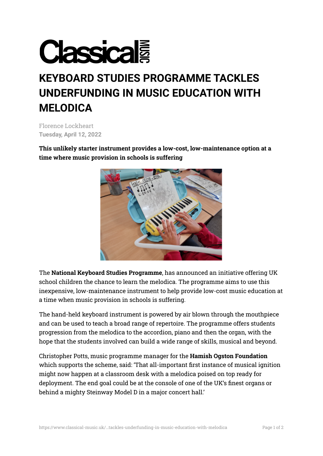

## **KEYBOARD STUDIES PROGRAMME TACKLES UNDERFUNDING IN MUSIC EDUCATION WITH MELODICA**

Florence Lockheart **Tuesday, April 12, 2022**

**This unlikely starter instrument provides a low-cost, low-maintenance option at a time where music provision in schools is suffering**



The **National Keyboard Studies [Programme](https://www.dioceseofleedsmusic.org.uk/Keyboard-Studies-Programme/)**, has announced an initiative offering UK school children the chance to learn the melodica. The programme aims to use this inexpensive, low-maintenance instrument to help provide low-cost music education at a time when music provision in schools is suffering.

The hand-held keyboard instrument is powered by air blown through the mouthpiece and can be used to teach a broad range of repertoire. The programme offers students progression from the melodica to the accordion, piano and then the organ, with the hope that the students involved can build a wide range of skills, musical and beyond.

Christopher Potts, music programme manager for the **Hamish Ogston [Foundation](https://www.hamishogstonfoundation.org/)** which supports the scheme, said: 'That all-important first instance of musical ignition might now happen at a classroom desk with a melodica poised on top ready for deployment. The end goal could be at the console of one of the UK's finest organs or behind a mighty Steinway Model D in a major concert hall.'